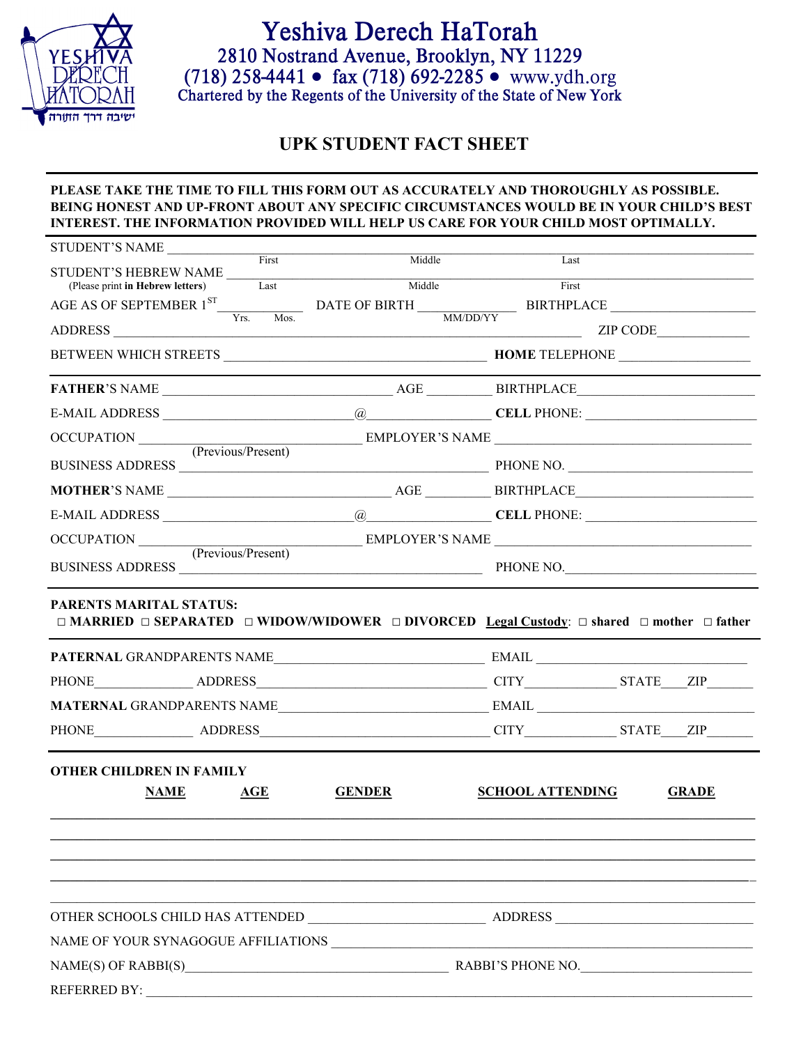

## Yeshiva Derech HaTorah 2810 Nostrand Avenue, Brooklyn, NY 11229 (718)  $258-4441 \cdot \text{ fax}$  (718)  $692-2285 \cdot \text{www.ydh.org}$ <br>Chartered by the Regents of the University of the State of New York

## **UPK STUDENT FACT SHEET**

## **PLEASE TAKE THE TIME TO FILL THIS FORM OUT AS ACCURATELY AND THOROUGHLY AS POSSIBLE. BEING HONEST AND UP-FRONT ABOUT ANY SPECIFIC CIRCUMSTANCES WOULD BE IN YOUR CHILD'S BEST INTEREST. THE INFORMATION PROVIDED WILL HELP US CARE FOR YOUR CHILD MOST OPTIMALLY.**

| STUDENT'S NAME                                |      |               |                         |                                                                                   |  |  |
|-----------------------------------------------|------|---------------|-------------------------|-----------------------------------------------------------------------------------|--|--|
| First<br>STUDENT'S HEBREW NAME                |      | Middle        | Last                    |                                                                                   |  |  |
| (Please print in Hebrew letters)              | Last | Middle        | First                   |                                                                                   |  |  |
|                                               |      |               |                         | AGE AS OF SEPTEMBER $1^{ST}$ Vrs. Mos. DATE OF BIRTH MM/DD/YY BIRTHPLACE MM/DD/YY |  |  |
| ADDRESS                                       |      |               |                         | ZIP CODE                                                                          |  |  |
|                                               |      |               |                         |                                                                                   |  |  |
|                                               |      |               |                         |                                                                                   |  |  |
|                                               |      |               |                         |                                                                                   |  |  |
| OCCUPATION (Previous/Present)                 |      |               |                         | EMPLOYER'S NAME                                                                   |  |  |
|                                               |      |               |                         |                                                                                   |  |  |
|                                               |      |               |                         |                                                                                   |  |  |
|                                               |      |               |                         |                                                                                   |  |  |
|                                               |      |               |                         |                                                                                   |  |  |
| OCCUPATION (Previous/Present) EMPLOYER'S NAME |      |               |                         | PHONE NO.                                                                         |  |  |
|                                               |      |               |                         |                                                                                   |  |  |
|                                               |      |               |                         |                                                                                   |  |  |
|                                               |      |               |                         |                                                                                   |  |  |
|                                               |      |               |                         | PHONE ADDRESS ADDRESS CITY STATE ZIP                                              |  |  |
| <b>OTHER CHILDREN IN FAMILY</b>               |      |               |                         |                                                                                   |  |  |
| <b>NAME</b>                                   | AGE  | <b>GENDER</b> | <b>SCHOOL ATTENDING</b> | <b>GRADE</b>                                                                      |  |  |
|                                               |      |               |                         |                                                                                   |  |  |
|                                               |      |               |                         |                                                                                   |  |  |
|                                               |      |               |                         |                                                                                   |  |  |
|                                               |      |               |                         |                                                                                   |  |  |
|                                               |      |               |                         |                                                                                   |  |  |
|                                               |      |               |                         |                                                                                   |  |  |